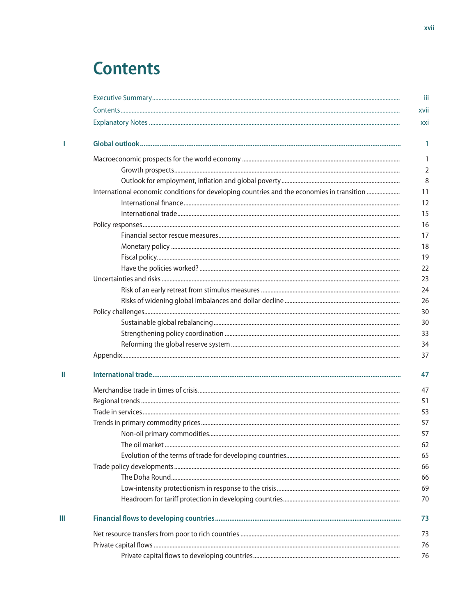# **Contents**

 $\mathbf{I}$ 

 $\mathbf{II}$ 

 $\mathop{\rm III}\nolimits$ 

| International economic conditions for developing countries and the economies in transition |
|--------------------------------------------------------------------------------------------|
|                                                                                            |
|                                                                                            |
|                                                                                            |
|                                                                                            |
|                                                                                            |
|                                                                                            |
|                                                                                            |
|                                                                                            |
|                                                                                            |
|                                                                                            |
|                                                                                            |
|                                                                                            |
|                                                                                            |
|                                                                                            |
|                                                                                            |
|                                                                                            |
|                                                                                            |
|                                                                                            |
|                                                                                            |
|                                                                                            |
|                                                                                            |
|                                                                                            |
|                                                                                            |
|                                                                                            |
|                                                                                            |
|                                                                                            |
|                                                                                            |
|                                                                                            |
|                                                                                            |
|                                                                                            |
|                                                                                            |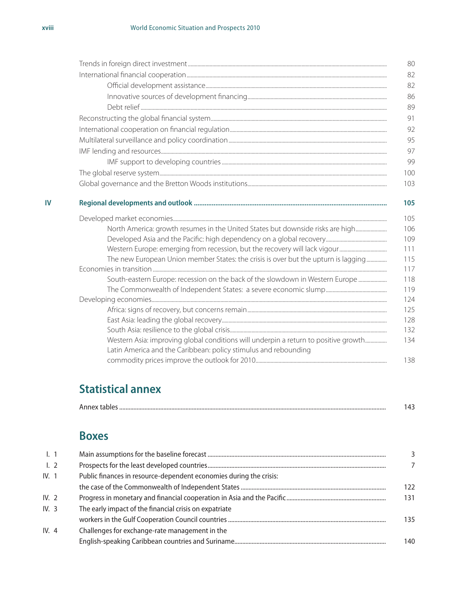|    |                                                                                     | 80         |
|----|-------------------------------------------------------------------------------------|------------|
|    |                                                                                     | 82         |
|    |                                                                                     | 82         |
|    |                                                                                     | 86         |
|    |                                                                                     | 89         |
|    |                                                                                     | 91         |
|    |                                                                                     | 92         |
|    |                                                                                     | 95         |
|    |                                                                                     | 97         |
|    |                                                                                     | 99         |
|    |                                                                                     | 100        |
|    |                                                                                     | 103        |
| IV |                                                                                     | 105        |
|    |                                                                                     | 105        |
|    | North America: growth resumes in the United States but downside risks are high      | 106        |
|    |                                                                                     | 109        |
|    |                                                                                     | 111        |
|    | The new European Union member States: the crisis is over but the upturn is lagging  | 115        |
|    |                                                                                     | 117        |
|    | South-eastern Europe: recession on the back of the slowdown in Western Europe       | 118<br>119 |
|    |                                                                                     | 124        |
|    |                                                                                     | 125        |
|    |                                                                                     | 128        |
|    |                                                                                     | 132        |
|    | Western Asia: improving global conditions will underpin a return to positive growth | 134        |
|    | Latin America and the Caribbean: policy stimulus and rebounding                     |            |
|    |                                                                                     | 138        |
|    |                                                                                     |            |

# **Statistical annex**

|--|--|

# **Boxes**

| I. 1          |                                                                    |     |
|---------------|--------------------------------------------------------------------|-----|
| $\lfloor$ . 2 |                                                                    |     |
| IV. 1         | Public finances in resource-dependent economies during the crisis: |     |
|               |                                                                    | 122 |
| IV.2          |                                                                    | 131 |
| IV.3          | The early impact of the financial crisis on expatriate             |     |
|               |                                                                    | 135 |
| IV.4          | Challenges for exchange-rate management in the                     |     |
|               |                                                                    | 140 |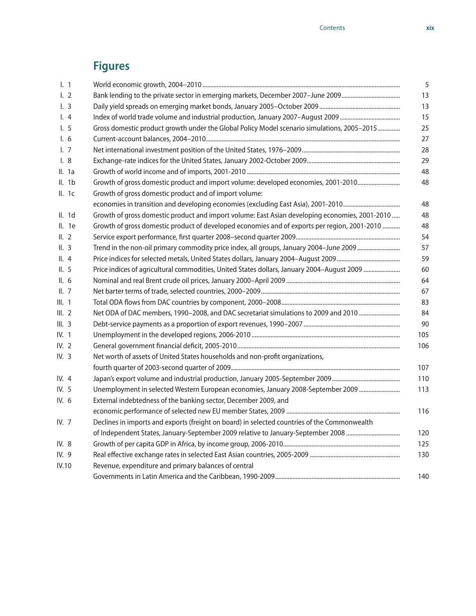# **Figures**

|         | $\lfloor$ . 1         | 5                                                                                                    |  |  |  |
|---------|-----------------------|------------------------------------------------------------------------------------------------------|--|--|--|
|         | $\lfloor$ . 2         |                                                                                                      |  |  |  |
|         | $\lfloor . \rfloor$   |                                                                                                      |  |  |  |
|         | $\lfloor$ . 4         |                                                                                                      |  |  |  |
|         | 1.5                   | 25<br>Gross domestic product growth under the Global Policy Model scenario simulations, 2005-2015    |  |  |  |
|         | $\mathsf{I}$ . 6      |                                                                                                      |  |  |  |
|         | l.7                   |                                                                                                      |  |  |  |
|         | $\lfloor . 8 \rfloor$ |                                                                                                      |  |  |  |
|         | II. 1a                | 48                                                                                                   |  |  |  |
|         | II. 1b                | Growth of gross domestic product and import volume: developed economies, 2001-2010                   |  |  |  |
|         | II. $1c$              | Growth of gross domestic product and of import volume:                                               |  |  |  |
|         |                       | 48                                                                                                   |  |  |  |
|         | II. 1d                | 48<br>Growth of gross domestic product and import volume: East Asian developing economies, 2001-2010 |  |  |  |
|         | II. 1e                | Growth of gross domestic product of developed economies and of exports per region, 2001-2010<br>48   |  |  |  |
| II.2    |                       | 54                                                                                                   |  |  |  |
| II.3    |                       | 57                                                                                                   |  |  |  |
| II.4    |                       | 59                                                                                                   |  |  |  |
| II.5    |                       | Price indices of agricultural commodities, United States dollars, January 2004-August 2009<br>60     |  |  |  |
| II.6    |                       | 64                                                                                                   |  |  |  |
| II.7    |                       | 67                                                                                                   |  |  |  |
| III. 1  |                       | 83                                                                                                   |  |  |  |
| III.2   |                       | Net ODA of DAC members, 1990-2008, and DAC secretariat simulations to 2009 and 2010<br>84            |  |  |  |
| III.3   |                       | 90                                                                                                   |  |  |  |
| IV. 1   |                       | 105                                                                                                  |  |  |  |
| IV. $2$ |                       | 106                                                                                                  |  |  |  |
| IV. $3$ |                       | Net worth of assets of United States households and non-profit organizations,                        |  |  |  |
|         |                       | 107                                                                                                  |  |  |  |
| IV. 4   |                       | 110                                                                                                  |  |  |  |
| IV. 5   |                       | Unemployment in selected Western European economies, January 2008-September 2009<br>113              |  |  |  |
| IV. 6   |                       | External indebtedness of the banking sector, December 2009, and                                      |  |  |  |
|         |                       | 116                                                                                                  |  |  |  |
| IV. 7   |                       | Declines in imports and exports (freight on board) in selected countries of the Commonwealth         |  |  |  |
|         |                       | 120                                                                                                  |  |  |  |
| IV. 8   |                       | 125                                                                                                  |  |  |  |
| IV. 9   |                       | 130                                                                                                  |  |  |  |
| IV.10   |                       | Revenue, expenditure and primary balances of central                                                 |  |  |  |
|         |                       | 140                                                                                                  |  |  |  |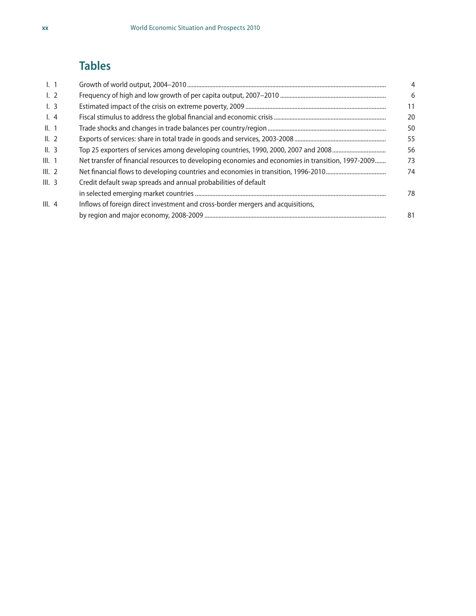# **Tables**

| $\lfloor$ . 1       |               |                                                                                                    | 4  |
|---------------------|---------------|----------------------------------------------------------------------------------------------------|----|
|                     | $\lfloor$ . 2 |                                                                                                    | 6  |
| $\lfloor$ . 3       |               |                                                                                                    | 11 |
| $\lfloor 4 \rfloor$ |               |                                                                                                    | 20 |
| II. 1               |               |                                                                                                    | 50 |
| II.2                |               |                                                                                                    | 55 |
| II.3                |               |                                                                                                    | 56 |
| III. 1              |               | Net transfer of financial resources to developing economies and economies in transition, 1997-2009 | 73 |
| III.2               |               |                                                                                                    | 74 |
| III.3               |               | Credit default swap spreads and annual probabilities of default                                    |    |
|                     |               |                                                                                                    | 78 |
| III.4               |               | Inflows of foreign direct investment and cross-border mergers and acquisitions,                    |    |
|                     |               |                                                                                                    | 81 |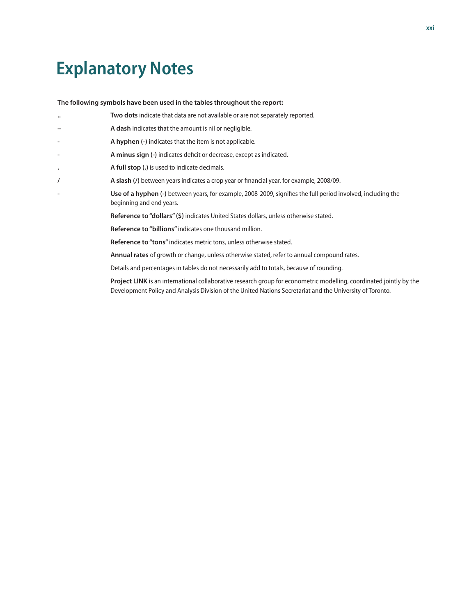# **Explanatory Notes**

**The following symbols have been used in the tables throughout the report: .. Two dots** indicate that data are not available or are not separately reported. **– A dash** indicates that the amount is nil or negligible. **- A hyphen (-)** indicates that the item is not applicable. **- A minus sign (-)** indicates deficit or decrease, except as indicated. **. A full stop (.)** is used to indicate decimals. **/ A slash (/)** between years indicates a crop year or financial year, for example, 2008/09. **- Use of a hyphen (-)** between years, for example, 2008-2009, signifies the full period involved, including the beginning and end years. **Reference to "dollars" (\$)** indicates United States dollars, unless otherwise stated. **Reference to "billions"** indicates one thousand million. **Reference to "tons"** indicates metric tons, unless otherwise stated. **Annual rates** of growth or change, unless otherwise stated, refer to annual compound rates.

Details and percentages in tables do not necessarily add to totals, because of rounding.

**Project LINK** is an international collaborative research group for econometric modelling, coordinated jointly by the Development Policy and Analysis Division of the United Nations Secretariat and the University of Toronto.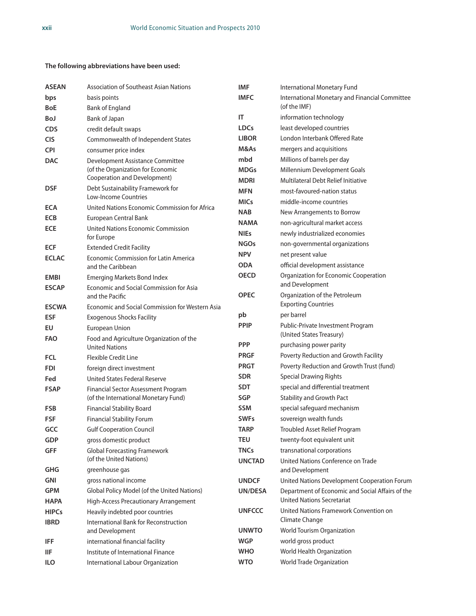# **The following abbreviations have been used:**

| <b>ASEAN</b> | <b>Association of Southeast Asian Nations</b>                    | <b>IMF</b>    | <b>International Monetary Fund</b>                               |
|--------------|------------------------------------------------------------------|---------------|------------------------------------------------------------------|
| bps          | basis points                                                     | <b>IMFC</b>   | International Monetary and Financial Committee                   |
| BoE          | Bank of England                                                  |               | (of the IMF)                                                     |
| BoJ          | Bank of Japan                                                    | IT            | information technology                                           |
| CDS          | credit default swaps                                             | <b>LDCs</b>   | least developed countries                                        |
| <b>CIS</b>   | Commonwealth of Independent States                               | <b>LIBOR</b>  | London Interbank Offered Rate                                    |
| <b>CPI</b>   | consumer price index                                             | M&As          | mergers and acquisitions                                         |
| <b>DAC</b>   | Development Assistance Committee                                 | mbd           | Millions of barrels per day                                      |
|              | (of the Organization for Economic                                | <b>MDGs</b>   | Millennium Development Goals                                     |
|              | Cooperation and Development)                                     | <b>MDRI</b>   | Multilateral Debt Relief Initiative                              |
| <b>DSF</b>   | Debt Sustainability Framework for<br><b>Low-Income Countries</b> | <b>MFN</b>    | most-favoured-nation status                                      |
|              | United Nations Economic Commission for Africa                    | <b>MICs</b>   | middle-income countries                                          |
| ECA          |                                                                  | <b>NAB</b>    | New Arrangements to Borrow                                       |
| <b>ECB</b>   | European Central Bank                                            | <b>NAMA</b>   | non-agricultural market access                                   |
| <b>ECE</b>   | United Nations Economic Commission<br>for Europe                 | <b>NIEs</b>   | newly industrialized economies                                   |
| <b>ECF</b>   | <b>Extended Credit Facility</b>                                  | <b>NGOs</b>   | non-governmental organizations                                   |
| <b>ECLAC</b> | <b>Economic Commission for Latin America</b>                     | <b>NPV</b>    | net present value                                                |
|              | and the Caribbean                                                | <b>ODA</b>    | official development assistance                                  |
| EMBI         | <b>Emerging Markets Bond Index</b>                               | <b>OECD</b>   | Organization for Economic Cooperation                            |
| <b>ESCAP</b> | <b>Economic and Social Commission for Asia</b>                   |               | and Development                                                  |
|              | and the Pacific                                                  | <b>OPEC</b>   | Organization of the Petroleum                                    |
| <b>ESCWA</b> | <b>Economic and Social Commission for Western Asia</b>           |               | <b>Exporting Countries</b>                                       |
| ESF          | <b>Exogenous Shocks Facility</b>                                 | pb            | per barrel                                                       |
| EU           | <b>European Union</b>                                            | <b>PPIP</b>   | Public-Private Investment Program                                |
| FAO          | Food and Agriculture Organization of the                         | <b>PPP</b>    | (United States Treasury)                                         |
|              | <b>United Nations</b>                                            | <b>PRGF</b>   | purchasing power parity<br>Poverty Reduction and Growth Facility |
| FCL          | <b>Flexible Credit Line</b>                                      | <b>PRGT</b>   | Poverty Reduction and Growth Trust (fund)                        |
| FDI          | foreign direct investment                                        | <b>SDR</b>    |                                                                  |
| Fed          | United States Federal Reserve                                    |               | <b>Special Drawing Rights</b>                                    |
| <b>FSAP</b>  | Financial Sector Assessment Program                              | <b>SDT</b>    | special and differential treatment                               |
|              | (of the International Monetary Fund)                             | <b>SGP</b>    | <b>Stability and Growth Pact</b>                                 |
| FSB          | <b>Financial Stability Board</b>                                 | <b>SSM</b>    | special safeguard mechanism                                      |
| <b>FSF</b>   | <b>Financial Stability Forum</b>                                 | <b>SWFs</b>   | sovereign wealth funds                                           |
| GCC          | <b>Gulf Cooperation Council</b>                                  | <b>TARP</b>   | Troubled Asset Relief Program                                    |
| <b>GDP</b>   | gross domestic product                                           | <b>TEU</b>    | twenty-foot equivalent unit                                      |
| <b>GFF</b>   | <b>Global Forecasting Framework</b><br>(of the United Nations)   | <b>TNCs</b>   | transnational corporations                                       |
| GHG          | greenhouse gas                                                   | <b>UNCTAD</b> | United Nations Conference on Trade<br>and Development            |
| <b>GNI</b>   | gross national income                                            | <b>UNDCF</b>  | United Nations Development Cooperation Forum                     |
| <b>GPM</b>   | Global Policy Model (of the United Nations)                      | UN/DESA       | Department of Economic and Social Affairs of the                 |
| <b>HAPA</b>  | High-Access Precautionary Arrangement                            |               | <b>United Nations Secretariat</b>                                |
| <b>HIPCs</b> | Heavily indebted poor countries                                  | <b>UNFCCC</b> | United Nations Framework Convention on                           |
| <b>IBRD</b>  | <b>International Bank for Reconstruction</b>                     |               | Climate Change                                                   |
|              | and Development                                                  | <b>UNWTO</b>  | World Tourism Organization                                       |
| IFF          | international financial facility                                 | <b>WGP</b>    | world gross product                                              |
| IIF          | Institute of International Finance                               | <b>WHO</b>    | World Health Organization                                        |
| ilo          | International Labour Organization                                | <b>WTO</b>    | World Trade Organization                                         |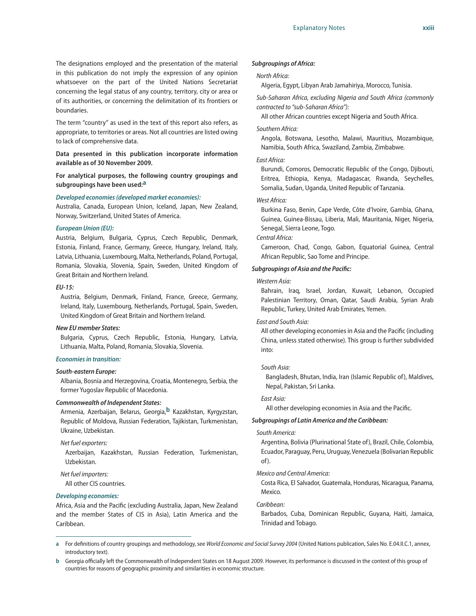The designations employed and the presentation of the material in this publication do not imply the expression of any opinion whatsoever on the part of the United Nations Secretariat concerning the legal status of any country, territory, city or area or of its authorities, or concerning the delimitation of its frontiers or boundaries.

The term "country" as used in the text of this report also refers, as appropriate, to territories or areas. Not all countries are listed owing to lack of comprehensive data.

**Data presented in this publication incorporate information available as of 30 November 2009.**

**For analytical purposes, the following country groupings and subgroupings have been used:a**

## *Developed economies (developed market economies):*

Australia, Canada, European Union, Iceland, Japan, New Zealand, Norway, Switzerland, United States of America.

#### *European Union (EU):*

Austria, Belgium, Bulgaria, Cyprus, Czech Republic, Denmark, Estonia, Finland, France, Germany, Greece, Hungary, Ireland, Italy, Latvia, Lithuania, Luxembourg, Malta, Netherlands, Poland, Portugal, Romania, Slovakia, Slovenia, Spain, Sweden, United Kingdom of Great Britain and Northern Ireland.

#### *EU-15:*

Austria, Belgium, Denmark, Finland, France, Greece, Germany, Ireland, Italy, Luxembourg, Netherlands, Portugal, Spain, Sweden, United Kingdom of Great Britain and Northern Ireland.

#### *New EU member States:*

Bulgaria, Cyprus, Czech Republic, Estonia, Hungary, Latvia, Lithuania, Malta, Poland, Romania, Slovakia, Slovenia.

#### *Economies in transition:*

# *South-eastern Europe:*

Albania, Bosnia and Herzegovina, Croatia, Montenegro, Serbia, the former Yugoslav Republic of Macedonia.

# *Commonwealth of Independent States:*

Armenia, Azerbaijan, Belarus, Georgia,**b** Kazakhstan, Kyrgyzstan, Republic of Moldova, Russian Federation, Tajikistan, Turkmenistan, Ukraine, Uzbekistan.

#### *Net fuel exporters:*

Azerbaijan, Kazakhstan, Russian Federation, Turkmenistan, Uzbekistan.

# *Net fuel importers:*

All other CIS countries.

#### *Developing economies:*

Africa, Asia and the Pacific (excluding Australia, Japan, New Zealand and the member States of CIS in Asia), Latin America and the Caribbean.

#### *Subgroupings of Africa:*

## *North Africa:*

Algeria, Egypt, Libyan Arab Jamahiriya, Morocco, Tunisia.

*Sub-Saharan Africa, excluding Nigeria and South Africa (commonly contracted to "sub-Saharan Africa"):*

All other African countries except Nigeria and South Africa.

#### *Southern Africa:*

Angola, Botswana, Lesotho, Malawi, Mauritius, Mozambique, Namibia, South Africa, Swaziland, Zambia, Zimbabwe.

#### *East Africa:*

Burundi, Comoros, Democratic Republic of the Congo, Djibouti, Eritrea, Ethiopia, Kenya, Madagascar, Rwanda, Seychelles, Somalia, Sudan, Uganda, United Republic of Tanzania.

#### *West Africa:*

Burkina Faso, Benin, Cape Verde, Côte d'Ivoire, Gambia, Ghana, Guinea, Guinea-Bissau, Liberia, Mali, Mauritania, Niger, Nigeria, Senegal, Sierra Leone, Togo.

#### *Central Africa:*

Cameroon, Chad, Congo, Gabon, Equatorial Guinea, Central African Republic, Sao Tome and Principe.

## *Subgroupings of Asia and the Pacific:*

### *Western Asia:*

Bahrain, Iraq, Israel, Jordan, Kuwait, Lebanon, Occupied Palestinian Territory, Oman, Qatar, Saudi Arabia, Syrian Arab Republic, Turkey, United Arab Emirates, Yemen.

#### *East and South Asia:*

All other developing economies in Asia and the Pacific (including China, unless stated otherwise). This group is further subdivided into:

#### *South Asia:*

Bangladesh, Bhutan, India, Iran (Islamic Republic of), Maldives, Nepal, Pakistan, Sri Lanka.

### *East Asia:*

All other developing economies in Asia and the Pacific.

#### *Subgroupings of Latin America and the Caribbean:*

#### *South America:*

Argentina, Bolivia (Plurinational State of), Brazil, Chile, Colombia, Ecuador, Paraguay, Peru, Uruguay, Venezuela (Bolivarian Republic of).

#### *Mexico and Central America:*

Costa Rica, El Salvador, Guatemala, Honduras, Nicaragua, Panama, Mexico.

#### *Caribbean:*

Barbados, Cuba, Dominican Republic, Guyana, Haiti, Jamaica, Trinidad and Tobago.

**a** For definitions of country groupings and methodology, see *World Economic and Social Survey 2004* (United Nations publication, Sales No. E.04.II.C.1, annex, introductory text).

**b** Georgia officially left the Commonwealth of Independent States on 18 August 2009. However, its performance is discussed in the context of this group of countries for reasons of geographic proximity and similarities in economic structure.